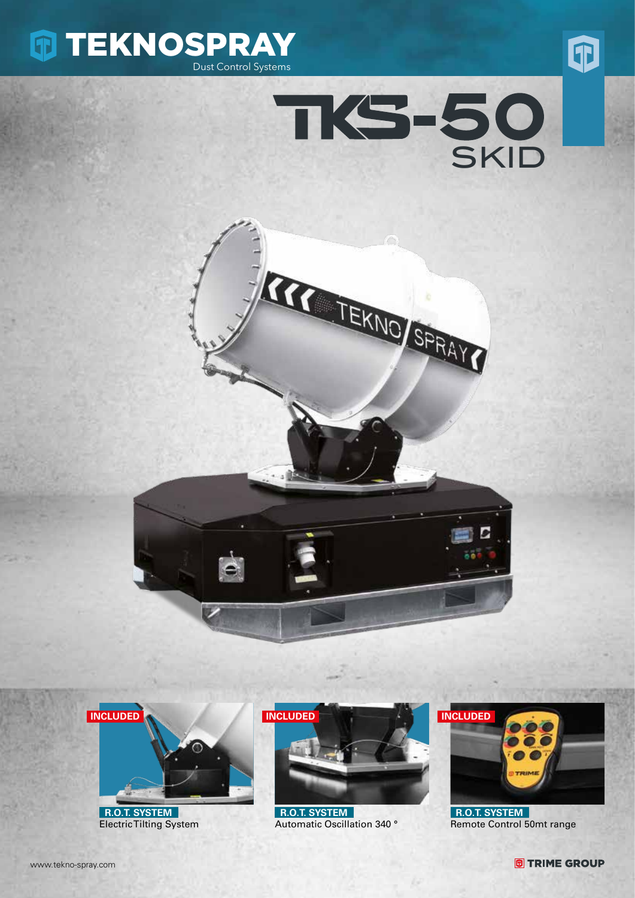









 **R.O.T. SYSTEM** Electric Tilting System



 **R.O.T. SYSTEM** Automatic Oscillation 340 °



 **R.O.T. SYSTEM** Remote Control 50mt range